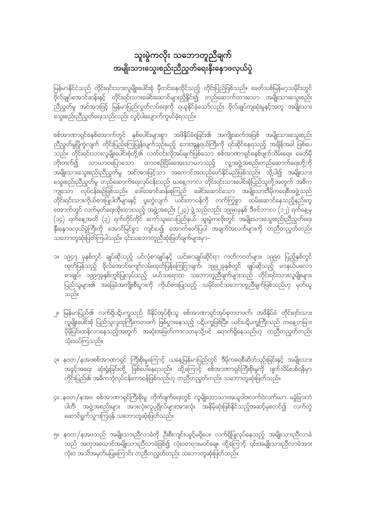## သူးမွဲကလိုး သဘောတူညီချက် အမျိုးသားသွေးစည်းညီညွတ်ရေးနှီးနှောဖလှယ်ပွဲ

မြန်မာနိုင်ငံသည် တိုင်းရင်းသားလူမျိုးပေါင်းစုံ မှီတင်းနေထိုင်သည့် တိုင်းပြည်ဖြစ်သည်။ ခေတ်သစ်မြန်မာ့သမိုင်းတွင် မြို့<br>ဗိုလ်ချုပ်အောင်ဆန်းနှင့် တိုင်းရင်းသားခေါင်းဆောင်များညှိနှိုင်း၍ တည်ဆောက်ထားသော အမျိုးသားသွေးစည်း ာ<br>သီညွတ်မှု အင်အားဖြင့် မြန်မာပြည်လွတ်လပ်ရေးကို ရယူနိုင်ခဲ့သော်လည်း ဗိုလ်ချုပ်ကျဆုံးမှုနှင့်အတူ အမျိုးသား 

စစ်အာဏာရှင်စနစ်အောက်တွင် နှစ်ပေါင်းများစွာ အဖိနှိပ်ခံရခြင်း၏ အကျိုးဆက်အဖြစ် အမျိုးသားသွေးစည်း ညီညွတ်မှုပြိုကွဲလျက် တိုင်းပြည်ကြေပြုန်းပျက်သုဉ်းမည့် ဘေးအန္တရယ်ကြီးကို ရင်ဆိုင်နေရသည့် အချိန်အခါ ဖြစ်ပေ ို့ ကိုလည်း ရှိသည်။ အသင်း ကိုလည်း အသင်း အသင်း ကိုလည်း ကိုလည်း ကိုလည်း ကိုလည်း ကိုလည်း ကို<br>ကြောက်လိုင်းရင်းသားလူမျိုးပေါင်းစုံတို့၏ လက်ငင်းလိုအပ်ချက်ဖြစ်သော စစ်အာဏာရှင်စနစ်ဖျက်သိမ်းရေး၊ ခေတ်မှီ ာမျိုးသားသွေးစည်းညီညွတ်မှု အင်အားဖြင့်သာ အကောင်အထည်ဖော်နိုင်မည်ဖြစ်သည်။ သို့ပါ၍ အမျိုးသား သွေးစည်းညီညွတ်မှု တည်ဆောက်ရေးလုပ်ငန်းသည် ယနေ့ကာလ တိုင်းရင်းသားပေါင်းစုံပြည်သူတို့အတွက် အဓိက ကျသော လုပ်ငန်းစဉ်ဖြစ်သည်။ ဒေါ်အောင်ဆန်းစုကြည် ခေါင်းဆောင်သော အမျိုးသားဒီမိုကရေစီအဖွဲ့သည် ျိုး<br>တိုင်းရင်းသားကိုယ်စားပြုပါတီများနှင့် ပူးတွဲလျက် ယင်းတာဝန်ကို တက်ကြွစွာ ထမ်းဆောင်နေသည့်နည်းတူ အောက်တွင် လက်မှတ်ရေးထိုးထားသည့် အဖွဲ့အစည်း (၂၃) ဖွဲ့သည်လည်း ၁၉၉၈ခုနှစ် ဒီဇင်ဘာလ (၁၂) ရက်နေ့မှ (၁၄) ရက်နေ့အထိ (၃) ရက်တိုင်တိုင် ကော်သူးလေပြည်နယ် သူးမွဲကလိုးတွင် အမျိုးသားသွေးစည်းညီညွတ်ရေး<br>နှီးနှောဖလှယ်ပွဲကြီးကို အောင်မြင်စွာ ကျင်းပ၍ အောက်ဖော်ပြပါ အချက်အလက်များကို တညီတညွှတ်တည်း ာ<br>သဘောတူဆုံးဖြတ်ကြပါသည်။ ၎င်းသဘောတူညီဆုံးဖြတ်ချက်များမှာ–

- ၁။ ၁၉၄၇ ခုနှစ်တွင် ချုပ်ဆိုသည့် ပင်လုံစာချုပ်နှင့် ယင်းစာချုပ်ဆိုင်ရာ ကတိကဝတ်များ၊ ၁၉၉ဝ ပြည့်နှစ်တွင် ့<br>ထုတ်ပြန်သည့် ဗိုလ်အောင်ကျော်လမ်းထုတ်ပြန်ကြေငြာချက်၊ ၁၉၉၂ခုနှစ်တွင် ချုပ်ဆိုသည့် မာနယ်ပလော ာ<br>- စာချုပ်၊ ၁၉၉၇ခုနှစ်တွင်ပြုလုပ်သည့် မယ်သရောထ သဘောတူညီချက်များသည် တိုင်းရင်းသားလူမျိုးများ၊ ပြည်သူများ၏ အခြေခံအကျိုးစီးပွားကို ကိုယ်စားပြုသည့် သမိုင်းဝင်သဘောတူညီချက်ဖြစ်သည်ဟု မှတ်ယူ သည်။
- ၂။ မြန်မာပြည်၏ လက်ရှိပဋိပက္ခသည် ဖိနှိပ်အုပ်စိုးသူ စစ်အာဏာရှင်အုပ်စုကတဖက်၊ အဖိနှိပ်ခံ တိုင်းရင်းသား .<br>ပိုမိုပြင်းထန်လာနေသည့်အတွက် အဆုံးအဖြတ်ကာလတခုသို့ပင် ရောက်ရှိနေသည်ဟု တညီတညွှတ်တည်း သုံးသပ်ကြသည်။
- ၃။ နဝတ/နအဖစစ်အာဏာရှင် ကြီးစိုးမှုကြောင့် ယနေ့မြန်မာပြည်တွင် ဒီမိုကရေစီဆိတ်သုဉ်းခြင်းနှင့် အမျိုးသား .<br>အခွင့်အရေး ဆုံးရှုံးခြင်းတို့ ဖြစ်ပေါ်နေရသည်။ ထို့ကြောင့် စစ်အာဏာရှင်ကြီးစိုးမှုကို ဖျက်သိမ်းပစ်ရန်မှာ တိုင်းပြည်၏ အဓိကဘုံလုပ်ငန်းတာဝန်ဖြစ်သည်ဟု တညီတညွတ်တည်း သဘောတူဆုံးဖြတ်သည်။
- ၄။ နဝတ/နအဖ စစ်အာဏာရှင်ကြီးစိုးမှု တိုက်ဖျက်ရေးတွင် လူမျိုး၊ဘာသာ၊အယူဝါဒ၊လက်ဝဲလက်ယာ မခွဲခြားဘဲ .<br>ပါတီ၊ အဖွဲ့အစည်းများ အားလုံး၊လူပုဂ္ဂိုလ်များအားလုံး အနိမ့်ဆုံးဖြစ်နိုင်သည့်အဆင့်မှစတင်၍ လက်တွဲ ဆောင်ရွက်သွားကြရန် သဘောတူဆုံးဖြတ်သည်။
- ၅။ နဝတ/နအဖသည် အမျိုးသားညီလာခံကို ဦးစီးကျင်းပခွင့်မရှိပေ။ လက်ရှိပြုလုပ်နေသည့် အမျိုးသားညီလာခံ သည် အတုအယောင်အမျိုးသားညီလာခံဖြစ်၍ လုံးဝတရားမဝင်ချေ။ ထို့ကြောင့် ၎င်းအမျိုးသားညီလာခံအား လုံးဝ အသိအမှတ်မပြုကြောင်း တညီတညွတ်တည်း သဘောတူဆုံးဖြတ်သည်။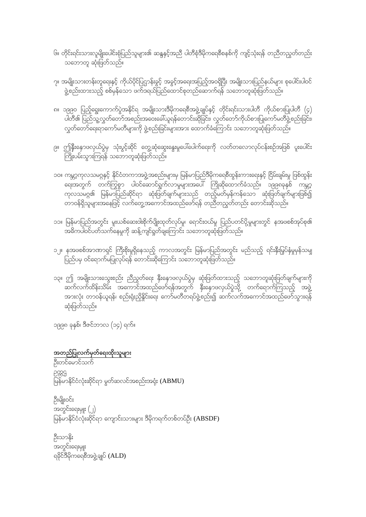- .<br>၆။ တိုင်းရင်းသားလူမျိုးပေါင်းစုံပြည်သူများ၏ ဆန္ဒနှင့်အညီ ပါတီစုံဒီမိုကရေစီစနစ်ကို ကျင့်သုံးရန် တညီတညွတ်တည်း သဘောတူ ဆုံးဖြတ်သည်။<br>-
- ၇။ အမျိုးသားတန်းတူရေးနှင့် ကိုယ်ပိုင်ပြဌာန်းခွင့် အခွင့်အရေးအပြည့်အဝရှိပြီး အမျိုးသားပြည်နယ်များ စုပေါင်းပါဝင် ာ<br>ဖွဲ့စည်းထားသည့် စစ်မှန်သော ဖက်ဒရယ်ပြည်ထောင်စုတည်ဆောက်ရန် သဘောတူဆုံးဖြတ်သည်။
- ၈။ ၁၉၉၀ ပြည့်ရွေးကောက်ပွဲအနိုင်ရ အမျိုးသားဒီမိုကရေစီအဖွဲ့ချုပ်နှင့် တိုင်းရင်းသားပါတီ ကိုယ်စားပြုပါတီ (၄) ပါတီ၏ ပြည်သူ့လွှတ်တော်အစည်းအဝေးခေါ်ယူရန်တောင်းဆိုခြင်း၊ လွှတ်တော်ကိုယ်စားပြုကော်မတီဖွဲ့စည်းခြင်း၊ ျောက်<br>လွှတ်တော်ရေးရာကော်မတီများကို ဖွဲ့စည်းခြင်းများအား ထောက်ခံကြောင်း သဘောတူဆုံးဖြတ်သည်။
- ၉။ ဤနှီးနောဖလှယ်ပွဲမှ သုံးပွင့်ဆိုင် တွေ့ဆုံဆွေးနွေးမှုပေါ်ပေါက်ရေးကို လတ်တလောလုပ်ငန်းစဉ်အဖြစ် ပူးပေါင်း
- ၁၀။ ကမ္ဘာ့ကုလသမဂ္ဂနှင့် နိုင်ငံတကာအဖွဲ့အစည်းများမှ မြန်မာပြည်ဒီမိုကရေစီထွန်းကားရေးနှင့် ငြိမ်းချမ်းမှု ဖြစ်ထွန်း <u>ျေး</u>အတွက် တက်ကြွစွာ ပါဝင်ဆောင်ရွက်လာမှုများအပေါ် ကြိုဆိုထောက်ခံသည်။ ၁၉၉၈ခုနှစ် ကမ္ဘာ့ .<br>ကုလသမဂ္ဂ၏ မြန်မာပြည်ဆိုင်ရာ ဆုံးဖြတ်ချက်များသည် တည့်မတ်မှန်ကန်သော ဆုံးဖြတ်ချက်များဖြစ်၍ ာ<br>တာဝန်ရှိသူများအနေဖြင့် လက်တွေ့အကောင်အထည်ဖော်ရန် တညီတညွှတ်တည်း တောင်းဆိုသည်။
- ၁၁။ မြန်မာပြည်အတွင်း မူးယစ်ဆေးဝါးစိုက်ပျိုးထုတ်လုပ်မှု၊ ရောင်းဝယ်မှု ပြည်ပတင်ပို့မှုများတွင် နအဖစစ်အုပ်စု၏ အဓိကပါဝင်ပတ်သက်နေမှုကို ဆန့် ကျင်ရှုပ်ာချကြောင်း သဘောတူဆုံးဖြတ်သည်။
- ၁၂။ နအဖစစ်အာဏာရှင် ကြီးစိုးမှုရှိနေသည့် ကာလအတွင်း မြန်မာပြည်အတွင်း မည်သည့် ရင်းနှီးမြှပ်နှံမှုမှန်သမျှ ပြည်ပမှ ဝင်ရောက်မပြုလုပ်ရန် တောင်းဆိုကြောင်း သဘောတူဆုံးဖြတ်သည်။
- ၁၃။ ဤ အမျိုးသားသွေးစည်း ညီညွတ်ရေး နှီးနှောဖလှယ်ပွဲမှ ဆုံးဖြတ်ထားသည့် သဘောတူဆုံးဖြတ်ချက်များကို ် ၂<br>ဆက်လက်ထိန်းသိမ်း အကောင်အထည်ဖော်ရန်အတွက် နှီးနှောဖလှယ်ပွဲသို့ တက်ရောက်ကြသည့် အဖွဲ့ အားလုံး တာဝန်ယူရန်၊ စည်းရုံးညှိနှိုင်းရေး ကော်မတီတရပ်ဖွဲ့စည်း၍ ဆက်လက်အကောင်အထည်ဖော်သွားရန် ဆုံးဖြတ်သည်။

၁၉၉၈ ခုနှစ်၊ ဒီဇင်ဘာလ (၁၄) ရက်။

အတည်ပြုလက်မှတ်ရေးထိုးသူများ ဦးတင်မောင်သက်

2889 င်က<br>မြန်မာနိုင်ငံလုံးဆိုင်ရာ မွတ်ဆလင်အစည်းအရုံး (ABMU)

ဦးမျိုးဝင်း အတွင်းရေးမှူး (၂) မြန်မာနိုင်ငံလုံးဆိုင်ရာ ကျောင်းသားများ ဒီမိုကရက်တစ်တပ်ဦး (ABSDF)

ဦးသာနိုး \_<br>အတွင်းရေးမှူး ရခိုင်ဒီမိုကရေစီအဖွဲ့ချုပ် (ALD)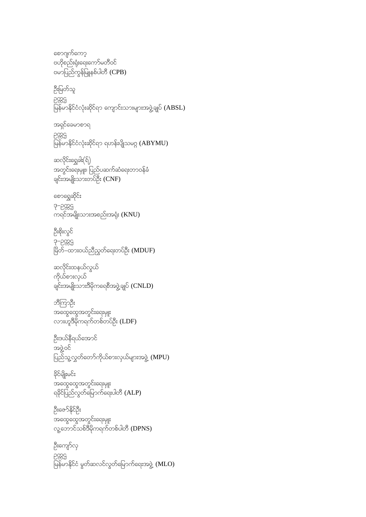ဦးကျော်လု 5885 မြန်မာနိုင်ငံ မွတ်ဆလင်လွတ်မြောက်ရေးအဖွဲ့ (**MLO**)

ဦးဇော်နိုင်ဦး အထွေထွေအတွင်းရေးမှူး လူ့ဘောင်သစ်ဒီမိုကရက်တစ်ပါတီ (DPNS)

<u> ဒိုင်မျိုးမင်း</u> အထွေထွေအတွင်းရေးမှူး ရခိုင်ပြည်လွတ်မြောက်ရေးပါတီ (ALP)

ဉီးဒယ်နီရယ်အောင် အဖွဲ့ဝင် ပြည်သူ့လွှတ်တော်ကိုယ်စားလှယ်များအဖွဲ့ (MPU)

<u>ဘီကြာဦး</u> အထွေထွေအတွင်းရေးမှူး လားဟူဒီမိုကရက်တစ်တပ်ဦး (LDF)

ဆလိုင်းထနယ်လွယ် ကိုယ်စားလှယ် ချင်းအမျိုးသားဒီမိုကရေစီအဖွဲ့ချုပ်  $(CNLD)$ 

ဦးစိုးလွင် ဒု–ဥက္ကဌ<br>မြိတ်–ထားဝယ်ညီညွတ်ရေးတပ်ဦး (**MDUF)** 

စောရွှေဆိုင်<mark>း</mark>  $3 - 2999$ ကရင်အမျိုးသားအစည်းအရုံး (KNU)

ဆလိုင်းရွှေခါး(ရိ) အတွင်းရေးမှူး၊ ပြည်ပဆက်ဆံရေးတာဝန်ခံ ချင်းအမျိုးသားတပ်ဦး (CNF)

5889 မြန်မာနိုင်ငံလုံးဆိုင်ရာ ရဟန်းပျိုသမဂ္ဂ (ABYMU)

အရှင်ခေမာစာရ

ဦးမြတ်သူ ဉက္ကဌ<br>မြန်မာနိုင်ငံလုံးဆိုင်ရာ ကျောင်းသားများအဖွဲ့ချုပ် (ABSL)

စောဂျက်ကော့ ဗဟိုစည်းရုံးရေးကော်မတီဝင် ဗမာပြည်ကွန်မြူနစ်ပါတီ (CPB)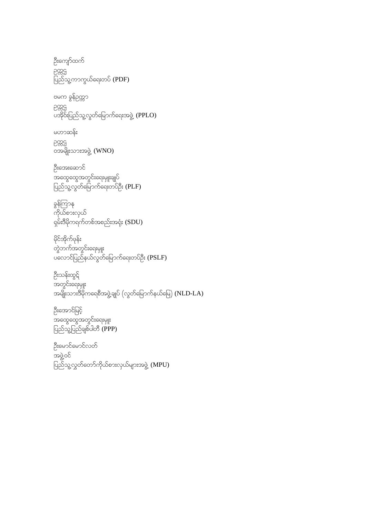ဦးကျော်ထက် pos ပြည်သူ့ကာကွယ်ရေးတပ် ( ${\rm PDF})$ 

ဗမက ခွန်ဥက္ကာ

poss ပီးတွင်<br>ပအိုဝ်းပြည်သူ့လွတ်မြောက်ရေးအဖွဲ့ (PPLO)

မဟာဆန်း pos ၀အမျိုးသားအဖွဲ့ (WNO)

ဦးအေးဆောင် အထွေထွေအတွင်းရေးမျုးချုပ် ပြည်သူ့လွတ်မြောက်ရေးတပ်ဦး ( $\mathsf{PLF}\mathsf{)}$ 

နွန်ကြာန ကိုယ်စားလှယ်  $\frac{1}{2}$ န်းဒီမိုကရက်တစ်အစည်းအရုံး  ${\rm (SDU)}$ 

မိုင်အိုက်ဖုန်း တွဲဘက်အတွင်းရေးမျုး ပလောင်ပြည်နယ်လွတ်မြောက်ရေးတပ်ဦး ( $\mathsf{PSLF}\bm{\mathsf{)}}$ 

ဦးသန်းထွင်် အတွင်းရေးမှူး အမျိုးသားဒီမိုကရေစီအဖွဲ့ချုပ် (လွတ်မြောက်နယ်မြေ) ( $\text{NLD-LA}$ )

ဦးအောင်မြင့် အထွေထွေအတွင်းရေးမျုး ပြည်သူ့ပြည်ချစ်ပါတီ ( ${\sf PPP})$ 

ဦးမောင်မောင်လတ် အဖွဲ့ဝင်  $\sim$ ပြည်သူ့လွှတ်တော်ကိုယ်စားလှယ်များအဖွဲ့ (MPU)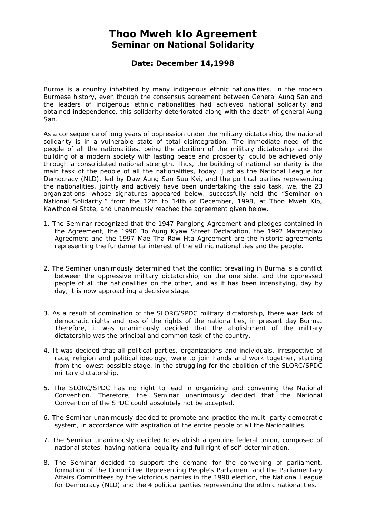## **Thoo Mweh klo Agreement Seminar on National Solidarity**

## **Date: December 14,1998**

Burma is a country inhabited by many indigenous ethnic nationalities. In the modern Burmese history, even though the consensus agreement between General Aung San and the leaders of indigenous ethnic nationalities had achieved national solidarity and obtained independence, this solidarity deteriorated along with the death of general Aung San.

As a consequence of long years of oppression under the military dictatorship, the national solidarity is in a vulnerable state of total disintegration. The immediate need of the people of all the nationalities, being the abolition of the military dictatorship and the building of a modern society with lasting peace and prosperity, could be achieved only through a consolidated national strength. Thus, the building of national solidarity is the main task of the people of all the nationalities, today. Just as the National League for Democracy (NLD), led by Daw Aung San Suu Kyi, and the political parties representing the nationalities, jointly and actively have been undertaking the said task, we, the 23 organizations, whose signatures appeared below, successfully held the "Seminar on National Solidarity," from the 12th to 14th of December, 1998, at Thoo Mweh Klo, Kawthoolei State, and unanimously reached the agreement given below.

- 1. The Seminar recognized that the 1947 Panglong Agreement and pledges contained in the Agreement, the 1990 Bo Aung Kyaw Street Declaration, the 1992 Marnerplaw Agreement and the 1997 Mae Tha Raw Hta Agreement are the historic agreements representing the fundamental interest of the ethnic nationalities and the people.
- 2. The Seminar unanimously determined that the conflict prevailing in Burma is a conflict between the oppressive military dictatorship, on the one side, and the oppressed people of all the nationalities on the other, and as it has been intensifying, day by day, it is now approaching a decisive stage.
- 3. As a result of domination of the SLORC/SPDC military dictatorship, there was lack of democratic rights and loss of the rights of the nationalities, in present day Burma. Therefore, it was unanimously decided that the abolishment of the military dictatorship was the principal and common task of the country.
- 4. It was decided that all political parties, organizations and individuals, irrespective of race, religion and political ideology, were to join hands and work together, starting from the lowest possible stage, in the struggling for the abolition of the SLORC/SPDC military dictatorship.
- 5. The SLORC/SPDC has no right to lead in organizing and convening the National Convention. Therefore, the Seminar unanimously decided that the National Convention of the SPDC could absolutely not be accepted.
- 6. The Seminar unanimously decided to promote and practice the multi-party democratic system, in accordance with aspiration of the entire people of all the Nationalities.
- 7. The Seminar unanimously decided to establish a genuine federal union, composed of national states, having national equality and full right of self-determination.
- 8. The Seminar decided to support the demand for the convening of parliament, formation of the Committee Representing People's Parliament and the Parliamentary Affairs Committees by the victorious parties in the 1990 election, the National League for Democracy (NLD) and the 4 political parties representing the ethnic nationalities.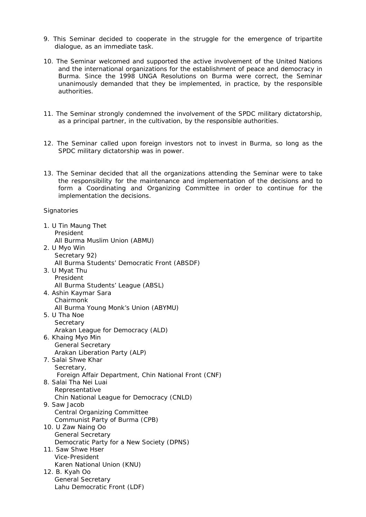- 9. This Seminar decided to cooperate in the struggle for the emergence of tripartite dialogue, as an immediate task.
- 10. The Seminar welcomed and supported the active involvement of the United Nations and the international organizations for the establishment of peace and democracy in Burma. Since the 1998 UNGA Resolutions on Burma were correct, the Seminar unanimously demanded that they be implemented, in practice, by the responsible authorities.
- 11. The Seminar strongly condemned the involvement of the SPDC military dictatorship, as a principal partner, in the cultivation, by the responsible authorities.
- 12. The Seminar called upon foreign investors not to invest in Burma, so long as the SPDC military dictatorship was in power.
- 13. The Seminar decided that all the organizations attending the Seminar were to take the responsibility for the maintenance and implementation of the decisions and to form a Coordinating and Organizing Committee in order to continue for the implementation the decisions.

**Signatories** 

| 1. U Tin Maung Thet                                                |
|--------------------------------------------------------------------|
| President<br>All Burma Muslim Union (ABMU)                         |
| 2. U Myo Win                                                       |
| Secretary 92)                                                      |
| All Burma Students' Democratic Front (ABSDF)                       |
| 3. U Myat Thu                                                      |
| President                                                          |
| All Burma Students' League (ABSL)                                  |
| 4. Ashin Kaymar Sara<br>Chairmonk                                  |
| All Burma Young Monk's Union (ABYMU)                               |
| 5. U Tha Noe                                                       |
| Secretary                                                          |
| Arakan League for Democracy (ALD)                                  |
| 6. Khaing Myo Min                                                  |
| <b>General Secretary</b>                                           |
| Arakan Liberation Party (ALP)                                      |
| 7. Salai Shwe Khar                                                 |
| Secretary,<br>Foreign Affair Department, Chin National Front (CNF) |
| 8. Salai Tha Nei Luai                                              |
| Representative                                                     |
| Chin National League for Democracy (CNLD)                          |
| 9. Saw Jacob                                                       |
| <b>Central Organizing Committee</b>                                |
| Communist Party of Burma (CPB)                                     |
| 10. U Zaw Naing Oo<br><b>General Secretary</b>                     |
| Democratic Party for a New Society (DPNS)                          |
| 11. Saw Shwe Hser                                                  |
| Vice-President                                                     |
| Karen National Union (KNU)                                         |
| 12. B. Kyah Oo                                                     |
| <b>General Secretary</b>                                           |
| Lahu Democratic Front (LDF)                                        |